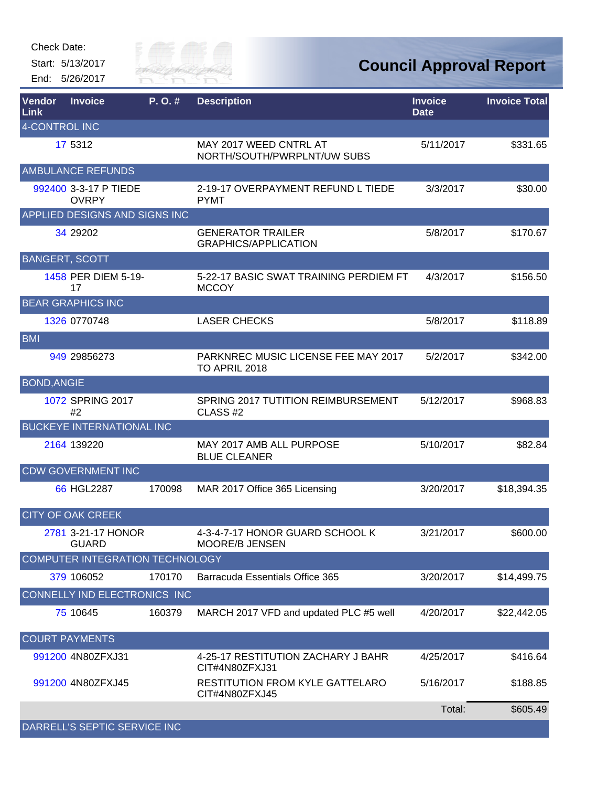Start: 5/13/2017 End: 5/26/2017



| Vendor<br>Link        | <b>Invoice</b>                         | P. O.# | <b>Description</b>                                        | <b>Invoice</b><br><b>Date</b> | <b>Invoice Total</b> |
|-----------------------|----------------------------------------|--------|-----------------------------------------------------------|-------------------------------|----------------------|
| 4-CONTROL INC         |                                        |        |                                                           |                               |                      |
|                       | 17 5312                                |        | MAY 2017 WEED CNTRL AT<br>NORTH/SOUTH/PWRPLNT/UW SUBS     | 5/11/2017                     | \$331.65             |
|                       | <b>AMBULANCE REFUNDS</b>               |        |                                                           |                               |                      |
|                       | 992400 3-3-17 P TIEDE<br><b>OVRPY</b>  |        | 2-19-17 OVERPAYMENT REFUND L TIEDE<br><b>PYMT</b>         | 3/3/2017                      | \$30.00              |
|                       | APPLIED DESIGNS AND SIGNS INC          |        |                                                           |                               |                      |
|                       | 34 29 20 2                             |        | <b>GENERATOR TRAILER</b><br><b>GRAPHICS/APPLICATION</b>   | 5/8/2017                      | \$170.67             |
| <b>BANGERT, SCOTT</b> |                                        |        |                                                           |                               |                      |
|                       | 1458 PER DIEM 5-19-<br>17              |        | 5-22-17 BASIC SWAT TRAINING PERDIEM FT<br><b>MCCOY</b>    | 4/3/2017                      | \$156.50             |
|                       | <b>BEAR GRAPHICS INC</b>               |        |                                                           |                               |                      |
|                       | 1326 0770748                           |        | <b>LASER CHECKS</b>                                       | 5/8/2017                      | \$118.89             |
| <b>BMI</b>            |                                        |        |                                                           |                               |                      |
|                       | 949 29856273                           |        | PARKNREC MUSIC LICENSE FEE MAY 2017<br>TO APRIL 2018      | 5/2/2017                      | \$342.00             |
| <b>BOND, ANGIE</b>    |                                        |        |                                                           |                               |                      |
|                       | 1072 SPRING 2017<br>#2                 |        | SPRING 2017 TUTITION REIMBURSEMENT<br>CLASS <sub>#2</sub> | 5/12/2017                     | \$968.83             |
|                       | <b>BUCKEYE INTERNATIONAL INC</b>       |        |                                                           |                               |                      |
|                       | 2164 139220                            |        | MAY 2017 AMB ALL PURPOSE<br><b>BLUE CLEANER</b>           | 5/10/2017                     | \$82.84              |
|                       | <b>CDW GOVERNMENT INC</b>              |        |                                                           |                               |                      |
|                       | 66 HGL2287                             | 170098 | MAR 2017 Office 365 Licensing                             | 3/20/2017                     | \$18,394.35          |
|                       | <b>CITY OF OAK CREEK</b>               |        |                                                           |                               |                      |
|                       | 2781 3-21-17 HONOR<br><b>GUARD</b>     |        | 4-3-4-7-17 HONOR GUARD SCHOOL K<br>MOORE/B JENSEN         | 3/21/2017                     | \$600.00             |
|                       | <b>COMPUTER INTEGRATION TECHNOLOGY</b> |        |                                                           |                               |                      |
|                       | 379 106052                             | 170170 | <b>Barracuda Essentials Office 365</b>                    | 3/20/2017                     | \$14,499.75          |
|                       | <b>CONNELLY IND ELECTRONICS INC</b>    |        |                                                           |                               |                      |
|                       | 75 10645                               | 160379 | MARCH 2017 VFD and updated PLC #5 well                    | 4/20/2017                     | \$22,442.05          |
|                       | <b>COURT PAYMENTS</b>                  |        |                                                           |                               |                      |
|                       | 991200 4N80ZFXJ31                      |        | 4-25-17 RESTITUTION ZACHARY J BAHR<br>CIT#4N80ZFXJ31      | 4/25/2017                     | \$416.64             |
|                       | 991200 4N80ZFXJ45                      |        | <b>RESTITUTION FROM KYLE GATTELARO</b><br>CIT#4N80ZFXJ45  | 5/16/2017                     | \$188.85             |
|                       |                                        |        |                                                           | Total:                        | \$605.49             |
|                       | DARRELL'S SEPTIC SERVICE INC           |        |                                                           |                               |                      |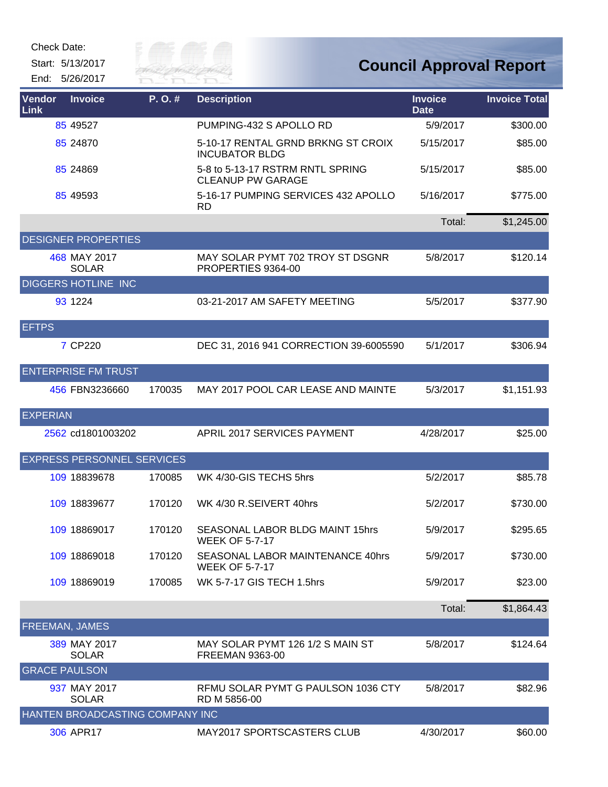Start: 5/13/2017

End: 5/26/2017



| Vendor<br>Link       | <b>Invoice</b>                    | P.O.#  | <b>Description</b>                                           | <b>Invoice</b><br><b>Date</b> | <b>Invoice Total</b> |
|----------------------|-----------------------------------|--------|--------------------------------------------------------------|-------------------------------|----------------------|
|                      | 85 49527                          |        | PUMPING-432 S APOLLO RD                                      | 5/9/2017                      | \$300.00             |
|                      | 85 24870                          |        | 5-10-17 RENTAL GRND BRKNG ST CROIX<br><b>INCUBATOR BLDG</b>  | 5/15/2017                     | \$85.00              |
|                      | 85 24869                          |        | 5-8 to 5-13-17 RSTRM RNTL SPRING<br><b>CLEANUP PW GARAGE</b> | 5/15/2017                     | \$85.00              |
|                      | 85 49593                          |        | 5-16-17 PUMPING SERVICES 432 APOLLO<br><b>RD</b>             | 5/16/2017                     | \$775.00             |
|                      |                                   |        |                                                              | Total:                        | \$1,245.00           |
|                      | <b>DESIGNER PROPERTIES</b>        |        |                                                              |                               |                      |
|                      | 468 MAY 2017<br><b>SOLAR</b>      |        | MAY SOLAR PYMT 702 TROY ST DSGNR<br>PROPERTIES 9364-00       | 5/8/2017                      | \$120.14             |
|                      | <b>DIGGERS HOTLINE INC</b>        |        |                                                              |                               |                      |
|                      | 93 1224                           |        | 03-21-2017 AM SAFETY MEETING                                 | 5/5/2017                      | \$377.90             |
| <b>EFTPS</b>         |                                   |        |                                                              |                               |                      |
|                      | 7 CP220                           |        | DEC 31, 2016 941 CORRECTION 39-6005590                       | 5/1/2017                      | \$306.94             |
|                      | <b>ENTERPRISE FM TRUST</b>        |        |                                                              |                               |                      |
|                      | 456 FBN3236660                    | 170035 | MAY 2017 POOL CAR LEASE AND MAINTE                           | 5/3/2017                      | \$1,151.93           |
| <b>EXPERIAN</b>      |                                   |        |                                                              |                               |                      |
|                      | 2562 cd1801003202                 |        | APRIL 2017 SERVICES PAYMENT                                  | 4/28/2017                     | \$25.00              |
|                      | <b>EXPRESS PERSONNEL SERVICES</b> |        |                                                              |                               |                      |
|                      | 109 18839678                      | 170085 | WK 4/30-GIS TECHS 5hrs                                       | 5/2/2017                      | \$85.78              |
|                      | 109 18839677                      | 170120 | WK 4/30 R.SEIVERT 40hrs                                      | 5/2/2017                      | \$730.00             |
|                      | 109 18869017                      | 170120 | SEASONAL LABOR BLDG MAINT 15hrs<br><b>WEEK OF 5-7-17</b>     | 5/9/2017                      | \$295.65             |
|                      | 109 18869018                      | 170120 | SEASONAL LABOR MAINTENANCE 40hrs<br><b>WEEK OF 5-7-17</b>    | 5/9/2017                      | \$730.00             |
|                      | 109 18869019                      | 170085 | WK 5-7-17 GIS TECH 1.5hrs                                    | 5/9/2017                      | \$23.00              |
|                      |                                   |        |                                                              | Total:                        | \$1,864.43           |
|                      | FREEMAN, JAMES                    |        |                                                              |                               |                      |
|                      | 389 MAY 2017<br><b>SOLAR</b>      |        | MAY SOLAR PYMT 126 1/2 S MAIN ST<br><b>FREEMAN 9363-00</b>   | 5/8/2017                      | \$124.64             |
| <b>GRACE PAULSON</b> |                                   |        |                                                              |                               |                      |
|                      | 937 MAY 2017<br><b>SOLAR</b>      |        | RFMU SOLAR PYMT G PAULSON 1036 CTY<br>RD M 5856-00           | 5/8/2017                      | \$82.96              |
|                      | HANTEN BROADCASTING COMPANY INC   |        |                                                              |                               |                      |
|                      | 306 APR17                         |        | MAY2017 SPORTSCASTERS CLUB                                   | 4/30/2017                     | \$60.00              |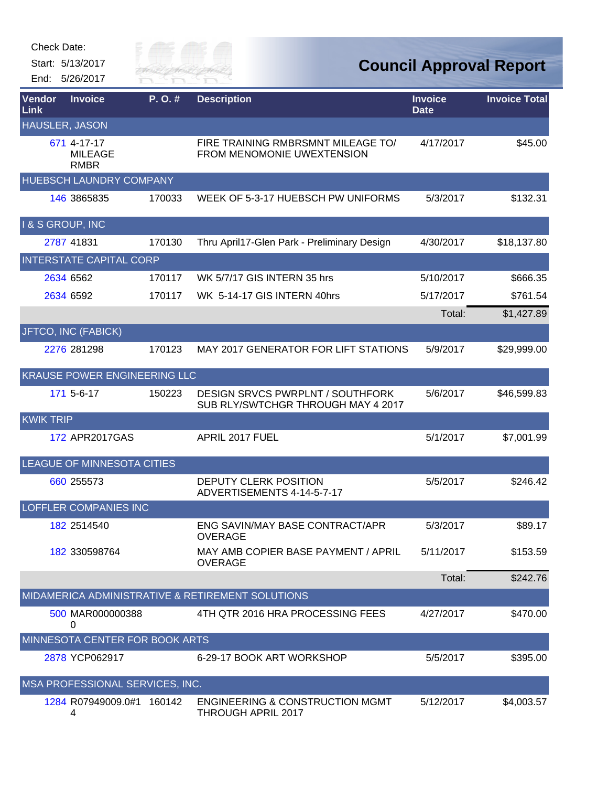| Check Date:           |                                              |                               |                                                                               |                               |                                |
|-----------------------|----------------------------------------------|-------------------------------|-------------------------------------------------------------------------------|-------------------------------|--------------------------------|
|                       | Start: 5/13/2017<br>End: 5/26/2017           | City of <b>c</b><br>River Fai |                                                                               |                               | <b>Council Approval Report</b> |
| Vendor<br>Link        | <b>Invoice</b>                               | P.O.#                         | <b>Description</b>                                                            | <b>Invoice</b><br><b>Date</b> | <b>Invoice Total</b>           |
| <b>HAUSLER, JASON</b> |                                              |                               |                                                                               |                               |                                |
|                       | 671 4-17-17<br><b>MILEAGE</b><br><b>RMBR</b> |                               | FIRE TRAINING RMBRSMNT MILEAGE TO/<br>FROM MENOMONIE UWEXTENSION              | 4/17/2017                     | \$45.00                        |
|                       | HUEBSCH LAUNDRY COMPANY                      |                               |                                                                               |                               |                                |
|                       | 146 3865835                                  | 170033                        | WEEK OF 5-3-17 HUEBSCH PW UNIFORMS                                            | 5/3/2017                      | \$132.31                       |
| I & S GROUP, INC      |                                              |                               |                                                                               |                               |                                |
|                       | 2787 41831                                   | 170130                        | Thru April17-Glen Park - Preliminary Design                                   | 4/30/2017                     | \$18,137.80                    |
|                       | <b>INTERSTATE CAPITAL CORP</b>               |                               |                                                                               |                               |                                |
|                       | 2634 6562                                    | 170117                        | WK 5/7/17 GIS INTERN 35 hrs                                                   | 5/10/2017                     | \$666.35                       |
|                       | 2634 6592                                    | 170117                        | WK 5-14-17 GIS INTERN 40hrs                                                   | 5/17/2017                     | \$761.54                       |
|                       |                                              |                               |                                                                               | Total:                        | \$1,427.89                     |
|                       | JFTCO, INC (FABICK)                          |                               |                                                                               |                               |                                |
|                       | 2276 281298                                  | 170123                        | <b>MAY 2017 GENERATOR FOR LIFT STATIONS</b>                                   | 5/9/2017                      | \$29,999.00                    |
|                       | <b>KRAUSE POWER ENGINEERING LLC</b>          |                               |                                                                               |                               |                                |
|                       | 171 5-6-17                                   | 150223                        | <b>DESIGN SRVCS PWRPLNT / SOUTHFORK</b><br>SUB RLY/SWTCHGR THROUGH MAY 4 2017 | 5/6/2017                      | \$46,599.83                    |
| <b>KWIK TRIP</b>      |                                              |                               |                                                                               |                               |                                |
|                       | 172 APR2017GAS                               |                               | APRIL 2017 FUEL                                                               | 5/1/2017                      | \$7,001.99                     |
|                       | LEAGUE OF MINNESOTA CITIES                   |                               |                                                                               |                               |                                |
|                       | 660 255573                                   |                               | DEPUTY CLERK POSITION<br>ADVERTISEMENTS 4-14-5-7-17                           | 5/5/2017                      | \$246.42                       |
|                       | LOFFLER COMPANIES INC                        |                               |                                                                               |                               |                                |
|                       | 182 2514540                                  |                               | ENG SAVIN/MAY BASE CONTRACT/APR<br><b>OVERAGE</b>                             | 5/3/2017                      | \$89.17                        |
|                       | 182 330598764                                |                               | MAY AMB COPIER BASE PAYMENT / APRIL<br><b>OVERAGE</b>                         | 5/11/2017                     | \$153.59                       |
|                       |                                              |                               |                                                                               | Total:                        | \$242.76                       |
|                       |                                              |                               | MIDAMERICA ADMINISTRATIVE & RETIREMENT SOLUTIONS                              |                               |                                |
|                       | 500 MAR000000388<br>0                        |                               | 4TH QTR 2016 HRA PROCESSING FEES                                              | 4/27/2017                     | \$470.00                       |
|                       | MINNESOTA CENTER FOR BOOK ARTS               |                               |                                                                               |                               |                                |
|                       | 2878 YCP062917                               |                               | 6-29-17 BOOK ART WORKSHOP                                                     | 5/5/2017                      | \$395.00                       |
|                       | MSA PROFESSIONAL SERVICES, INC.              |                               |                                                                               |                               |                                |
|                       | 1284 R07949009.0#1 160142<br>4               |                               | <b>ENGINEERING &amp; CONSTRUCTION MGMT</b><br>THROUGH APRIL 2017              | 5/12/2017                     | \$4,003.57                     |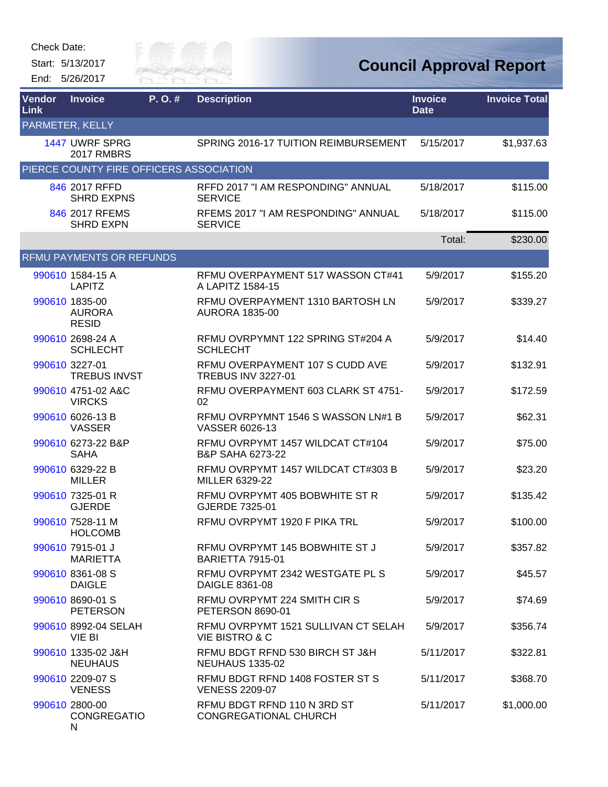| Check Date: |  |
|-------------|--|
|-------------|--|

Start: 5/13/2017 End: 5/26/2017



| <b>Vendor</b><br><b>Link</b> | <b>Invoice</b>                                  | P.O.# | <b>Description</b>                                               | <b>Invoice</b><br><b>Date</b> | <b>Invoice Total</b> |
|------------------------------|-------------------------------------------------|-------|------------------------------------------------------------------|-------------------------------|----------------------|
|                              | PARMETER, KELLY                                 |       |                                                                  |                               |                      |
|                              | 1447 UWRF SPRG<br><b>2017 RMBRS</b>             |       | SPRING 2016-17 TUITION REIMBURSEMENT                             | 5/15/2017                     | \$1,937.63           |
|                              | PIERCE COUNTY FIRE OFFICERS ASSOCIATION         |       |                                                                  |                               |                      |
|                              | 846 2017 RFFD<br><b>SHRD EXPNS</b>              |       | RFFD 2017 "I AM RESPONDING" ANNUAL<br><b>SERVICE</b>             | 5/18/2017                     | \$115.00             |
|                              | 846 2017 RFEMS<br><b>SHRD EXPN</b>              |       | RFEMS 2017 "I AM RESPONDING" ANNUAL<br><b>SERVICE</b>            | 5/18/2017                     | \$115.00             |
|                              |                                                 |       |                                                                  | Total:                        | \$230.00             |
|                              | <b>RFMU PAYMENTS OR REFUNDS</b>                 |       |                                                                  |                               |                      |
|                              | 990610 1584-15 A<br><b>LAPITZ</b>               |       | RFMU OVERPAYMENT 517 WASSON CT#41<br>A LAPITZ 1584-15            | 5/9/2017                      | \$155.20             |
|                              | 990610 1835-00<br><b>AURORA</b><br><b>RESID</b> |       | RFMU OVERPAYMENT 1310 BARTOSH LN<br><b>AURORA 1835-00</b>        | 5/9/2017                      | \$339.27             |
|                              | 990610 2698-24 A<br><b>SCHLECHT</b>             |       | RFMU OVRPYMNT 122 SPRING ST#204 A<br><b>SCHLECHT</b>             | 5/9/2017                      | \$14.40              |
|                              | 990610 3227-01<br><b>TREBUS INVST</b>           |       | RFMU OVERPAYMENT 107 S CUDD AVE<br><b>TREBUS INV 3227-01</b>     | 5/9/2017                      | \$132.91             |
|                              | 990610 4751-02 A&C<br><b>VIRCKS</b>             |       | RFMU OVERPAYMENT 603 CLARK ST 4751-<br>02                        | 5/9/2017                      | \$172.59             |
|                              | 990610 6026-13 B<br><b>VASSER</b>               |       | RFMU OVRPYMNT 1546 S WASSON LN#1 B<br>VASSER 6026-13             | 5/9/2017                      | \$62.31              |
|                              | 990610 6273-22 B&P<br><b>SAHA</b>               |       | RFMU OVRPYMT 1457 WILDCAT CT#104<br><b>B&amp;P SAHA 6273-22</b>  | 5/9/2017                      | \$75.00              |
|                              | 990610 6329-22 B<br><b>MILLER</b>               |       | RFMU OVRPYMT 1457 WILDCAT CT#303 B<br>MILLER 6329-22             | 5/9/2017                      | \$23.20              |
|                              | 990610 7325-01 R<br><b>GJERDE</b>               |       | RFMU OVRPYMT 405 BOBWHITE ST R<br>GJERDE 7325-01                 | 5/9/2017                      | \$135.42             |
|                              | 990610 7528-11 M<br><b>HOLCOMB</b>              |       | RFMU OVRPYMT 1920 F PIKA TRL                                     | 5/9/2017                      | \$100.00             |
|                              | 990610 7915-01 J<br><b>MARIETTA</b>             |       | RFMU OVRPYMT 145 BOBWHITE ST J<br><b>BARIETTA 7915-01</b>        | 5/9/2017                      | \$357.82             |
|                              | 990610 8361-08 S<br><b>DAIGLE</b>               |       | RFMU OVRPYMT 2342 WESTGATE PL S<br>DAIGLE 8361-08                | 5/9/2017                      | \$45.57              |
|                              | 990610 8690-01 S<br><b>PETERSON</b>             |       | RFMU OVRPYMT 224 SMITH CIR S<br><b>PETERSON 8690-01</b>          | 5/9/2017                      | \$74.69              |
|                              | 990610 8992-04 SELAH<br>VIE BI                  |       | RFMU OVRPYMT 1521 SULLIVAN CT SELAH<br><b>VIE BISTRO &amp; C</b> | 5/9/2017                      | \$356.74             |
|                              | 990610 1335-02 J&H<br><b>NEUHAUS</b>            |       | RFMU BDGT RFND 530 BIRCH ST J&H<br><b>NEUHAUS 1335-02</b>        | 5/11/2017                     | \$322.81             |
|                              | 990610 2209-07 S<br><b>VENESS</b>               |       | RFMU BDGT RFND 1408 FOSTER ST S<br><b>VENESS 2209-07</b>         | 5/11/2017                     | \$368.70             |
|                              | 990610 2800-00<br><b>CONGREGATIO</b><br>N       |       | RFMU BDGT RFND 110 N 3RD ST<br><b>CONGREGATIONAL CHURCH</b>      | 5/11/2017                     | \$1,000.00           |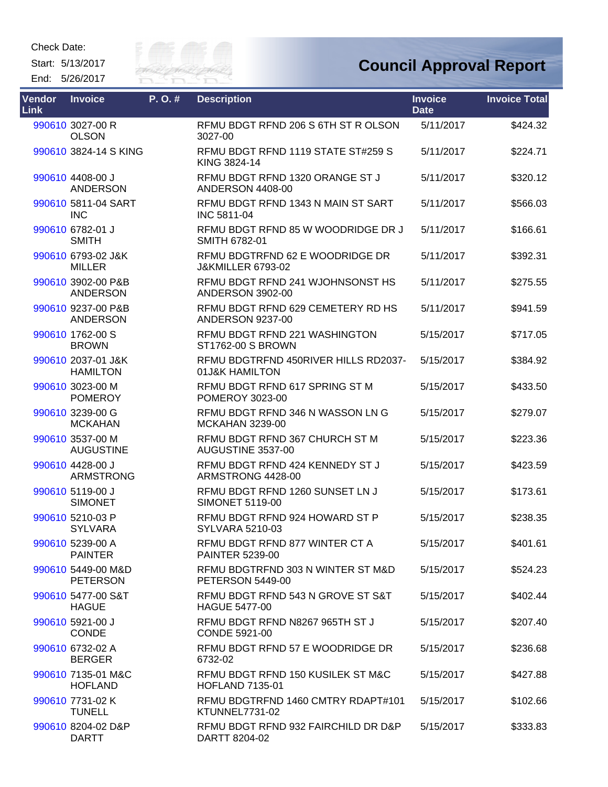Start: 5/13/2017 End: 5/26/2017



| Vendor<br>Link | <b>Invoice</b>                        | P.O.# | <b>Description</b>                                              | <b>Invoice</b><br><b>Date</b> | <b>Invoice Total</b> |
|----------------|---------------------------------------|-------|-----------------------------------------------------------------|-------------------------------|----------------------|
|                | 990610 3027-00 R<br><b>OLSON</b>      |       | RFMU BDGT RFND 206 S 6TH ST R OLSON<br>3027-00                  | 5/11/2017                     | \$424.32             |
|                | 990610 3824-14 S KING                 |       | RFMU BDGT RFND 1119 STATE ST#259 S<br>KING 3824-14              | 5/11/2017                     | \$224.71             |
|                | 990610 4408-00 J<br><b>ANDERSON</b>   |       | RFMU BDGT RFND 1320 ORANGE ST J<br><b>ANDERSON 4408-00</b>      | 5/11/2017                     | \$320.12             |
|                | 990610 5811-04 SART<br><b>INC</b>     |       | RFMU BDGT RFND 1343 N MAIN ST SART<br><b>INC 5811-04</b>        | 5/11/2017                     | \$566.03             |
|                | 990610 6782-01 J<br><b>SMITH</b>      |       | RFMU BDGT RFND 85 W WOODRIDGE DR J<br>SMITH 6782-01             | 5/11/2017                     | \$166.61             |
|                | 990610 6793-02 J&K<br><b>MILLER</b>   |       | RFMU BDGTRFND 62 E WOODRIDGE DR<br><b>J&amp;KMILLER 6793-02</b> | 5/11/2017                     | \$392.31             |
|                | 990610 3902-00 P&B<br><b>ANDERSON</b> |       | RFMU BDGT RFND 241 WJOHNSONST HS<br><b>ANDERSON 3902-00</b>     | 5/11/2017                     | \$275.55             |
|                | 990610 9237-00 P&B<br><b>ANDERSON</b> |       | RFMU BDGT RFND 629 CEMETERY RD HS<br><b>ANDERSON 9237-00</b>    | 5/11/2017                     | \$941.59             |
|                | 990610 1762-00 S<br><b>BROWN</b>      |       | RFMU BDGT RFND 221 WASHINGTON<br><b>ST1762-00 S BROWN</b>       | 5/15/2017                     | \$717.05             |
|                | 990610 2037-01 J&K<br><b>HAMILTON</b> |       | RFMU BDGTRFND 450RIVER HILLS RD2037-<br>01J&K HAMILTON          | 5/15/2017                     | \$384.92             |
|                | 990610 3023-00 M<br><b>POMEROY</b>    |       | RFMU BDGT RFND 617 SPRING ST M<br>POMEROY 3023-00               | 5/15/2017                     | \$433.50             |
|                | 990610 3239-00 G<br><b>MCKAHAN</b>    |       | RFMU BDGT RFND 346 N WASSON LN G<br><b>MCKAHAN 3239-00</b>      | 5/15/2017                     | \$279.07             |
|                | 990610 3537-00 M<br><b>AUGUSTINE</b>  |       | RFMU BDGT RFND 367 CHURCH ST M<br>AUGUSTINE 3537-00             | 5/15/2017                     | \$223.36             |
|                | 990610 4428-00 J<br><b>ARMSTRONG</b>  |       | RFMU BDGT RFND 424 KENNEDY ST J<br>ARMSTRONG 4428-00            | 5/15/2017                     | \$423.59             |
|                | 990610 5119-00 J<br><b>SIMONET</b>    |       | RFMU BDGT RFND 1260 SUNSET LN J<br><b>SIMONET 5119-00</b>       | 5/15/2017                     | \$173.61             |
|                | 990610 5210-03 P<br><b>SYLVARA</b>    |       | RFMU BDGT RFND 924 HOWARD ST P<br>SYLVARA 5210-03               | 5/15/2017                     | \$238.35             |
|                | 990610 5239-00 A<br><b>PAINTER</b>    |       | RFMU BDGT RFND 877 WINTER CT A<br><b>PAINTER 5239-00</b>        | 5/15/2017                     | \$401.61             |
|                | 990610 5449-00 M&D<br><b>PETERSON</b> |       | RFMU BDGTRFND 303 N WINTER ST M&D<br><b>PETERSON 5449-00</b>    | 5/15/2017                     | \$524.23             |
|                | 990610 5477-00 S&T<br><b>HAGUE</b>    |       | RFMU BDGT RFND 543 N GROVE ST S&T<br>HAGUE 5477-00              | 5/15/2017                     | \$402.44             |
|                | 990610 5921-00 J<br><b>CONDE</b>      |       | RFMU BDGT RFND N8267 965TH ST J<br>CONDE 5921-00                | 5/15/2017                     | \$207.40             |
|                | 990610 6732-02 A<br><b>BERGER</b>     |       | RFMU BDGT RFND 57 E WOODRIDGE DR<br>6732-02                     | 5/15/2017                     | \$236.68             |
|                | 990610 7135-01 M&C<br><b>HOFLAND</b>  |       | RFMU BDGT RFND 150 KUSILEK ST M&C<br><b>HOFLAND 7135-01</b>     | 5/15/2017                     | \$427.88             |
|                | 990610 7731-02 K<br><b>TUNELL</b>     |       | RFMU BDGTRFND 1460 CMTRY RDAPT#101<br>KTUNNEL7731-02            | 5/15/2017                     | \$102.66             |
|                | 990610 8204-02 D&P<br><b>DARTT</b>    |       | RFMU BDGT RFND 932 FAIRCHILD DR D&P<br>DARTT 8204-02            | 5/15/2017                     | \$333.83             |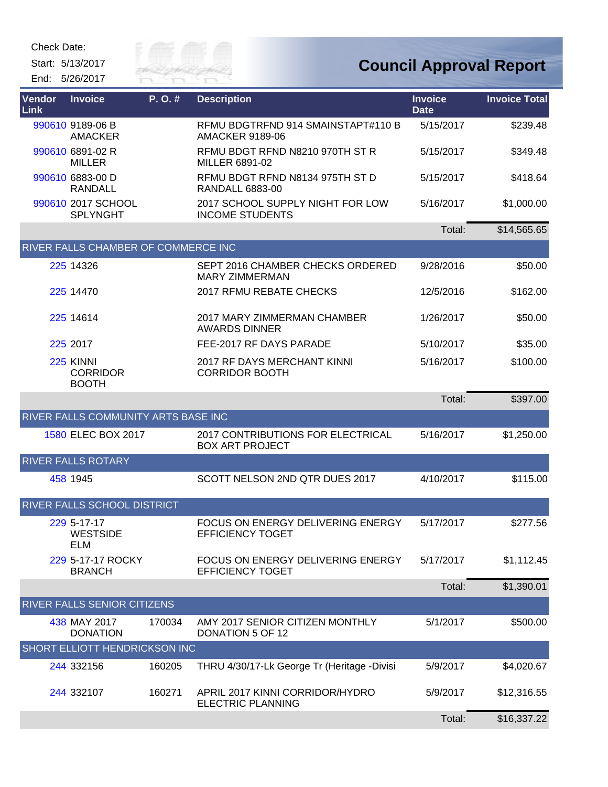Start: 5/13/2017 End: 5/26/2017



| Vendor<br>Link | <b>Invoice</b>                               | P.O.#  | <b>Description</b>                                           | <b>Invoice</b><br><b>Date</b> | <b>Invoice Total</b> |
|----------------|----------------------------------------------|--------|--------------------------------------------------------------|-------------------------------|----------------------|
|                | 990610 9189-06 B<br><b>AMACKER</b>           |        | RFMU BDGTRFND 914 SMAINSTAPT#110 B<br><b>AMACKER 9189-06</b> | 5/15/2017                     | \$239.48             |
|                | 990610 6891-02 R<br><b>MILLER</b>            |        | RFMU BDGT RFND N8210 970TH ST R<br>MILLER 6891-02            | 5/15/2017                     | \$349.48             |
|                | 990610 6883-00 D<br><b>RANDALL</b>           |        | RFMU BDGT RFND N8134 975TH ST D<br><b>RANDALL 6883-00</b>    | 5/15/2017                     | \$418.64             |
|                | 990610 2017 SCHOOL<br><b>SPLYNGHT</b>        |        | 2017 SCHOOL SUPPLY NIGHT FOR LOW<br><b>INCOME STUDENTS</b>   | 5/16/2017                     | \$1,000.00           |
|                |                                              |        |                                                              | Total:                        | \$14,565.65          |
|                | RIVER FALLS CHAMBER OF COMMERCE INC          |        |                                                              |                               |                      |
|                | 225 14326                                    |        | SEPT 2016 CHAMBER CHECKS ORDERED<br><b>MARY ZIMMERMAN</b>    | 9/28/2016                     | \$50.00              |
|                | 225 14470                                    |        | 2017 RFMU REBATE CHECKS                                      | 12/5/2016                     | \$162.00             |
|                | 225 14614                                    |        | 2017 MARY ZIMMERMAN CHAMBER<br><b>AWARDS DINNER</b>          | 1/26/2017                     | \$50.00              |
|                | 225 2017                                     |        | FEE-2017 RF DAYS PARADE                                      | 5/10/2017                     | \$35.00              |
|                | 225 KINNI<br><b>CORRIDOR</b><br><b>BOOTH</b> |        | 2017 RF DAYS MERCHANT KINNI<br><b>CORRIDOR BOOTH</b>         | 5/16/2017                     | \$100.00             |
|                |                                              |        |                                                              | Total:                        | \$397.00             |
|                | RIVER FALLS COMMUNITY ARTS BASE INC          |        |                                                              |                               |                      |
|                | 1580 ELEC BOX 2017                           |        | 2017 CONTRIBUTIONS FOR ELECTRICAL<br><b>BOX ART PROJECT</b>  | 5/16/2017                     | \$1,250.00           |
|                | <b>RIVER FALLS ROTARY</b>                    |        |                                                              |                               |                      |
|                | 458 1945                                     |        | SCOTT NELSON 2ND QTR DUES 2017                               | 4/10/2017                     | \$115.00             |
|                | RIVER FALLS SCHOOL DISTRICT                  |        |                                                              |                               |                      |
|                | 229 5-17-17<br><b>WESTSIDE</b><br>ELM        |        | FOCUS ON ENERGY DELIVERING ENERGY<br>EFFICIENCY TOGET        | 5/17/2017                     | \$277.56             |
|                | 229 5-17-17 ROCKY<br><b>BRANCH</b>           |        | FOCUS ON ENERGY DELIVERING ENERGY<br><b>EFFICIENCY TOGET</b> | 5/17/2017                     | \$1,112.45           |
|                |                                              |        |                                                              | Total:                        | \$1,390.01           |
|                | RIVER FALLS SENIOR CITIZENS                  |        |                                                              |                               |                      |
|                | 438 MAY 2017<br><b>DONATION</b>              | 170034 | AMY 2017 SENIOR CITIZEN MONTHLY<br>DONATION 5 OF 12          | 5/1/2017                      | \$500.00             |
|                | <b>SHORT ELLIOTT HENDRICKSON INC</b>         |        |                                                              |                               |                      |
|                | 244 332156                                   | 160205 | THRU 4/30/17-Lk George Tr (Heritage -Divisi                  | 5/9/2017                      | \$4,020.67           |
|                | 244 332107                                   | 160271 | APRIL 2017 KINNI CORRIDOR/HYDRO<br><b>ELECTRIC PLANNING</b>  | 5/9/2017                      | \$12,316.55          |
|                |                                              |        |                                                              | Total:                        | \$16,337.22          |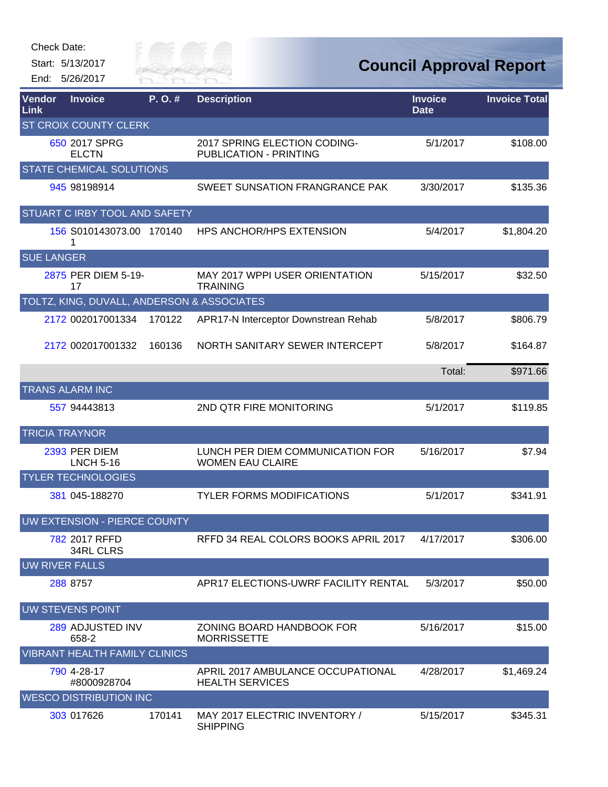| Check Date: |  |
|-------------|--|
|-------------|--|

Start: 5/13/2017

End: 5/26/2017



**Council Approval Report**

| <b>Vendor</b><br>Link | <b>Invoice</b>                             | P. O. # | <b>Description</b>                                            | <b>Invoice</b><br><b>Date</b> | <b>Invoice Total</b> |
|-----------------------|--------------------------------------------|---------|---------------------------------------------------------------|-------------------------------|----------------------|
|                       | <b>ST CROIX COUNTY CLERK</b>               |         |                                                               |                               |                      |
|                       | 650 2017 SPRG<br><b>ELCTN</b>              |         | 2017 SPRING ELECTION CODING-<br><b>PUBLICATION - PRINTING</b> | 5/1/2017                      | \$108.00             |
|                       | <b>STATE CHEMICAL SOLUTIONS</b>            |         |                                                               |                               |                      |
|                       | 945 98198914                               |         | SWEET SUNSATION FRANGRANCE PAK                                | 3/30/2017                     | \$135.36             |
|                       | STUART C IRBY TOOL AND SAFETY              |         |                                                               |                               |                      |
|                       | 156 S010143073.00 170140<br>1              |         | <b>HPS ANCHOR/HPS EXTENSION</b>                               | 5/4/2017                      | \$1,804.20           |
| <b>SUE LANGER</b>     |                                            |         |                                                               |                               |                      |
|                       | 2875 PER DIEM 5-19-<br>17                  |         | <b>MAY 2017 WPPI USER ORIENTATION</b><br><b>TRAINING</b>      | 5/15/2017                     | \$32.50              |
|                       | TOLTZ, KING, DUVALL, ANDERSON & ASSOCIATES |         |                                                               |                               |                      |
|                       | 2172 002017001334                          | 170122  | APR17-N Interceptor Downstrean Rehab                          | 5/8/2017                      | \$806.79             |
|                       | 2172 002017001332                          | 160136  | NORTH SANITARY SEWER INTERCEPT                                | 5/8/2017                      | \$164.87             |
|                       |                                            |         |                                                               | Total:                        | \$971.66             |
|                       | <b>TRANS ALARM INC</b>                     |         |                                                               |                               |                      |
|                       | 557 94443813                               |         | 2ND QTR FIRE MONITORING                                       | 5/1/2017                      | \$119.85             |
| <b>TRICIA TRAYNOR</b> |                                            |         |                                                               |                               |                      |
|                       | 2393 PER DIEM<br><b>LNCH 5-16</b>          |         | LUNCH PER DIEM COMMUNICATION FOR<br><b>WOMEN EAU CLAIRE</b>   | 5/16/2017                     | \$7.94               |
|                       | <b>TYLER TECHNOLOGIES</b>                  |         |                                                               |                               |                      |
|                       | 381 045-188270                             |         | <b>TYLER FORMS MODIFICATIONS</b>                              | 5/1/2017                      | \$341.91             |
|                       | UW EXTENSION - PIERCE COUNTY               |         |                                                               |                               |                      |
|                       | 782 2017 RFFD<br><b>34RL CLRS</b>          |         | RFFD 34 REAL COLORS BOOKS APRIL 2017                          | 4/17/2017                     | \$306.00             |
| <b>UW RIVER FALLS</b> |                                            |         |                                                               |                               |                      |
|                       | 288 8757                                   |         | APR17 ELECTIONS-UWRF FACILITY RENTAL                          | 5/3/2017                      | \$50.00              |
|                       | <b>UW STEVENS POINT</b>                    |         |                                                               |                               |                      |
|                       | 289 ADJUSTED INV<br>658-2                  |         | ZONING BOARD HANDBOOK FOR<br><b>MORRISSETTE</b>               | 5/16/2017                     | \$15.00              |
|                       | <b>VIBRANT HEALTH FAMILY CLINICS</b>       |         |                                                               |                               |                      |
|                       | 790 4-28-17<br>#8000928704                 |         | APRIL 2017 AMBULANCE OCCUPATIONAL<br><b>HEALTH SERVICES</b>   | 4/28/2017                     | \$1,469.24           |
|                       | <b>WESCO DISTRIBUTION INC</b>              |         |                                                               |                               |                      |
|                       | 303 017626                                 | 170141  | MAY 2017 ELECTRIC INVENTORY /<br><b>SHIPPING</b>              | 5/15/2017                     | \$345.31             |